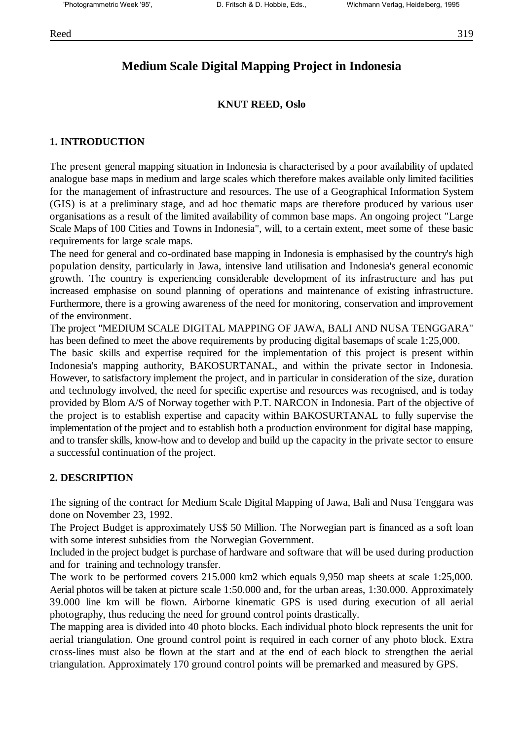# **Medium Scale Digital Mapping Project in Indonesia**

## **KNUT REED, Oslo**

## **1. INTRODUCTION**

The present general mapping situation in Indonesia is characterised by a poor availability of updated analogue base maps in medium and large scales which therefore makes available only limited facilities for the management of infrastructure and resources. The use of a Geographical Information System (GIS) is at a preliminary stage, and ad hoc thematic maps are therefore produced by various user organisations as a result of the limited availability of common base maps. An ongoing project "Large Scale Maps of 100 Cities and Towns in Indonesia", will, to a certain extent, meet some of these basic requirements for large scale maps.

The need for general and co-ordinated base mapping in Indonesia is emphasised by the country's high population density, particularly in Jawa, intensive land utilisation and Indonesia's general economic growth. The country is experiencing considerable development of its infrastructure and has put increased emphasise on sound planning of operations and maintenance of existing infrastructure. Furthermore, there is a growing awareness of the need for monitoring, conservation and improvement of the environment.

The project "MEDIUM SCALE DIGITAL MAPPING OF JAWA, BALI AND NUSA TENGGARA" has been defined to meet the above requirements by producing digital basemaps of scale 1:25,000.

The basic skills and expertise required for the implementation of this project is present within Indonesia's mapping authority, BAKOSURTANAL, and within the private sector in Indonesia. However, to satisfactory implement the project, and in particular in consideration of the size, duration and technology involved, the need for specific expertise and resources was recognised, and is today provided by Blom A/S of Norway together with P.T. NARCON in Indonesia. Part of the objective of the project is to establish expertise and capacity within BAKOSURTANAL to fully supervise the implementation of the project and to establish both a production environment for digital base mapping, and to transfer skills, know-how and to develop and build up the capacity in the private sector to ensure a successful continuation of the project.

### **2. DESCRIPTION**

The signing of the contract for Medium Scale Digital Mapping of Jawa, Bali and Nusa Tenggara was done on November 23, 1992.

The Project Budget is approximately US\$ 50 Million. The Norwegian part is financed as a soft loan with some interest subsidies from the Norwegian Government.

Included in the project budget is purchase of hardware and software that will be used during production and for training and technology transfer.

The work to be performed covers 215.000 km2 which equals 9,950 map sheets at scale 1:25,000. Aerial photos will be taken at picture scale 1:50.000 and, for the urban areas, 1:30.000. Approximately 39.000 line km will be flown. Airborne kinematic GPS is used during execution of all aerial photography, thus reducing the need for ground control points drastically.

The mapping area is divided into 40 photo blocks. Each individual photo block represents the unit for aerial triangulation. One ground control point is required in each corner of any photo block. Extra cross-lines must also be flown at the start and at the end of each block to strengthen the aerial triangulation. Approximately 170 ground control points will be premarked and measured by GPS.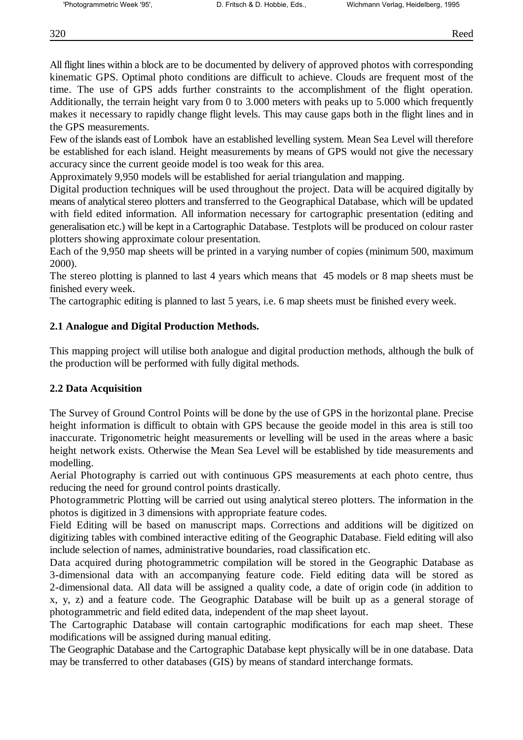All flight lines within a block are to be documented by delivery of approved photos with corresponding kinematic GPS. Optimal photo conditions are difficult to achieve. Clouds are frequent most of the time. The use of GPS adds further constraints to the accomplishment of the flight operation. Additionally, the terrain height vary from 0 to 3.000 meters with peaks up to 5.000 which frequently makes it necessary to rapidly change flight levels. This may cause gaps both in the flight lines and in the GPS measurements.

Few of the islands east of Lombok have an established levelling system. Mean Sea Level will therefore be established for each island. Height measurements by means of GPS would not give the necessary accuracy since the current geoide model is too weak for this area.

Approximately 9,950 models will be established for aerial triangulation and mapping.

Digital production techniques will be used throughout the project. Data will be acquired digitally by means of analytical stereo plotters and transferred to the Geographical Database, which will be updated with field edited information. All information necessary for cartographic presentation (editing and generalisation etc.) will be kept in a Cartographic Database. Testplots will be produced on colour raster plotters showing approximate colour presentation.

Each of the 9,950 map sheets will be printed in a varying number of copies (minimum 500, maximum 2000).

The stereo plotting is planned to last 4 years which means that 45 models or 8 map sheets must be finished every week.

The cartographic editing is planned to last 5 years, i.e. 6 map sheets must be finished every week.

# **2.1 Analogue and Digital Production Methods.**

This mapping project will utilise both analogue and digital production methods, although the bulk of the production will be performed with fully digital methods.

# **2.2 Data Acquisition**

The Survey of Ground Control Points will be done by the use of GPS in the horizontal plane. Precise height information is difficult to obtain with GPS because the geoide model in this area is still too inaccurate. Trigonometric height measurements or levelling will be used in the areas where a basic height network exists. Otherwise the Mean Sea Level will be established by tide measurements and modelling.

Aerial Photography is carried out with continuous GPS measurements at each photo centre, thus reducing the need for ground control points drastically.

Photogrammetric Plotting will be carried out using analytical stereo plotters. The information in the photos is digitized in 3 dimensions with appropriate feature codes.

Field Editing will be based on manuscript maps. Corrections and additions will be digitized on digitizing tables with combined interactive editing of the Geographic Database. Field editing will also include selection of names, administrative boundaries, road classification etc.

Data acquired during photogrammetric compilation will be stored in the Geographic Database as 3-dimensional data with an accompanying feature code. Field editing data will be stored as 2-dimensional data. All data will be assigned a quality code, a date of origin code (in addition to x, y, z) and a feature code. The Geographic Database will be built up as a general storage of photogrammetric and field edited data, independent of the map sheet layout.

The Cartographic Database will contain cartographic modifications for each map sheet. These modifications will be assigned during manual editing.

The Geographic Database and the Cartographic Database kept physically will be in one database. Data may be transferred to other databases (GIS) by means of standard interchange formats.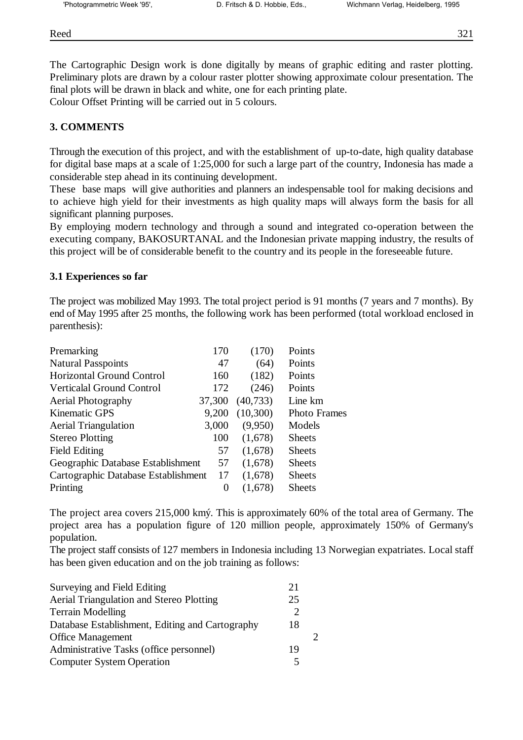Reed 321

The Cartographic Design work is done digitally by means of graphic editing and raster plotting. Preliminary plots are drawn by a colour raster plotter showing approximate colour presentation. The final plots will be drawn in black and white, one for each printing plate.

Colour Offset Printing will be carried out in 5 colours.

# **3. COMMENTS**

Through the execution of this project, and with the establishment of up-to-date, high quality database for digital base maps at a scale of 1:25,000 for such a large part of the country, Indonesia has made a considerable step ahead in its continuing development.

These base maps will give authorities and planners an indespensable tool for making decisions and to achieve high yield for their investments as high quality maps will always form the basis for all significant planning purposes.

By employing modern technology and through a sound and integrated co-operation between the executing company, BAKOSURTANAL and the Indonesian private mapping industry, the results of this project will be of considerable benefit to the country and its people in the foreseeable future.

## **3.1 Experiences so far**

The project was mobilized May 1993. The total project period is 91 months (7 years and 7 months). By end of May 1995 after 25 months, the following work has been performed (total workload enclosed in parenthesis):

| Premarking                          | 170    | (170)     | Points              |
|-------------------------------------|--------|-----------|---------------------|
| <b>Natural Passpoints</b>           | 47     | (64)      | Points              |
| <b>Horizontal Ground Control</b>    | 160    | (182)     | Points              |
| Verticalal Ground Control           | 172    | (246)     | Points              |
| <b>Aerial Photography</b>           | 37,300 | (40, 733) | Line km             |
| <b>Kinematic GPS</b>                | 9,200  | (10,300)  | <b>Photo Frames</b> |
| <b>Aerial Triangulation</b>         | 3,000  | (9,950)   | Models              |
| <b>Stereo Plotting</b>              | 100    | (1,678)   | <b>Sheets</b>       |
| <b>Field Editing</b>                | 57     | (1,678)   | <b>Sheets</b>       |
| Geographic Database Establishment   | 57     | (1,678)   | <b>Sheets</b>       |
| Cartographic Database Establishment | 17     | (1,678)   | <b>Sheets</b>       |
| Printing                            | 0      | (1,678)   | <b>Sheets</b>       |
|                                     |        |           |                     |

The project area covers 215,000 kmý. This is approximately 60% of the total area of Germany. The project area has a population figure of 120 million people, approximately 150% of Germany's population.

The project staff consists of 127 members in Indonesia including 13 Norwegian expatriates. Local staff has been given education and on the job training as follows:

| Surveying and Field Editing                     | 21 |  |
|-------------------------------------------------|----|--|
| Aerial Triangulation and Stereo Plotting        | 25 |  |
| <b>Terrain Modelling</b>                        |    |  |
| Database Establishment, Editing and Cartography | 18 |  |
| <b>Office Management</b>                        |    |  |
| Administrative Tasks (office personnel)         | 19 |  |
| <b>Computer System Operation</b>                |    |  |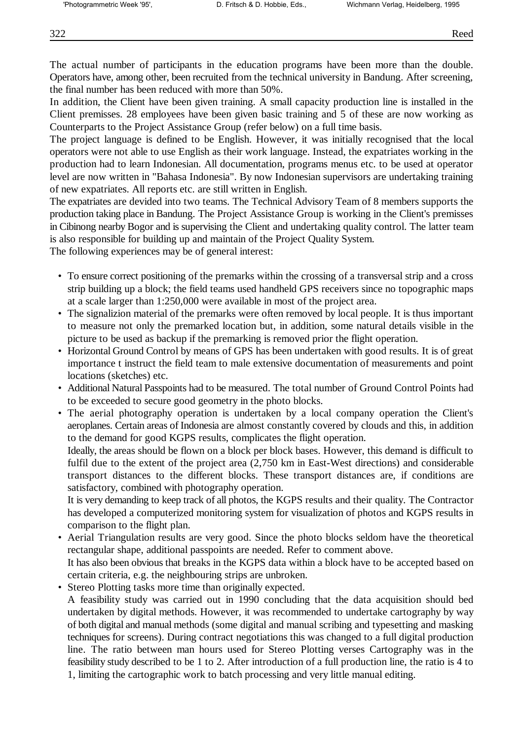The actual number of participants in the education programs have been more than the double. Operators have, among other, been recruited from the technical university in Bandung. After screening, the final number has been reduced with more than 50%.

In addition, the Client have been given training. A small capacity production line is installed in the Client premisses. 28 employees have been given basic training and 5 of these are now working as Counterparts to the Project Assistance Group (refer below) on a full time basis.

The project language is defined to be English. However, it was initially recognised that the local operators were not able to use English as their work language. Instead, the expatriates working in the production had to learn Indonesian. All documentation, programs menus etc. to be used at operator level are now written in "Bahasa Indonesia". By now Indonesian supervisors are undertaking training of new expatriates. All reports etc. are still written in English.

The expatriates are devided into two teams. The Technical Advisory Team of 8 members supports the production taking place in Bandung. The Project Assistance Group is working in the Client's premisses in Cibinong nearby Bogor and is supervising the Client and undertaking quality control. The latter team is also responsible for building up and maintain of the Project Quality System.

The following experiences may be of general interest:

- To ensure correct positioning of the premarks within the crossing of a transversal strip and a cross strip building up a block; the field teams used handheld GPS receivers since no topographic maps at a scale larger than 1:250,000 were available in most of the project area.
- The signalizion material of the premarks were often removed by local people. It is thus important to measure not only the premarked location but, in addition, some natural details visible in the picture to be used as backup if the premarking is removed prior the flight operation.
- Horizontal Ground Control by means of GPS has been undertaken with good results. It is of great importance t instruct the field team to male extensive documentation of measurements and point locations (sketches) etc.
- Additional Natural Passpoints had to be measured. The total number of Ground Control Points had to be exceeded to secure good geometry in the photo blocks.
- The aerial photography operation is undertaken by a local company operation the Client's aeroplanes. Certain areas of Indonesia are almost constantly covered by clouds and this, in addition to the demand for good KGPS results, complicates the flight operation.

Ideally, the areas should be flown on a block per block bases. However, this demand is difficult to fulfil due to the extent of the project area (2,750 km in East-West directions) and considerable transport distances to the different blocks. These transport distances are, if conditions are satisfactory, combined with photography operation.

It is very demanding to keep track of all photos, the KGPS results and their quality. The Contractor has developed a computerized monitoring system for visualization of photos and KGPS results in comparison to the flight plan.

 • Aerial Triangulation results are very good. Since the photo blocks seldom have the theoretical rectangular shape, additional passpoints are needed. Refer to comment above.

It has also been obvious that breaks in the KGPS data within a block have to be accepted based on certain criteria, e.g. the neighbouring strips are unbroken.

• Stereo Plotting tasks more time than originally expected.

A feasibility study was carried out in 1990 concluding that the data acquisition should bed undertaken by digital methods. However, it was recommended to undertake cartography by way of both digital and manual methods (some digital and manual scribing and typesetting and masking techniques for screens). During contract negotiations this was changed to a full digital production line. The ratio between man hours used for Stereo Plotting verses Cartography was in the feasibility study described to be 1 to 2. After introduction of a full production line, the ratio is 4 to 1, limiting the cartographic work to batch processing and very little manual editing.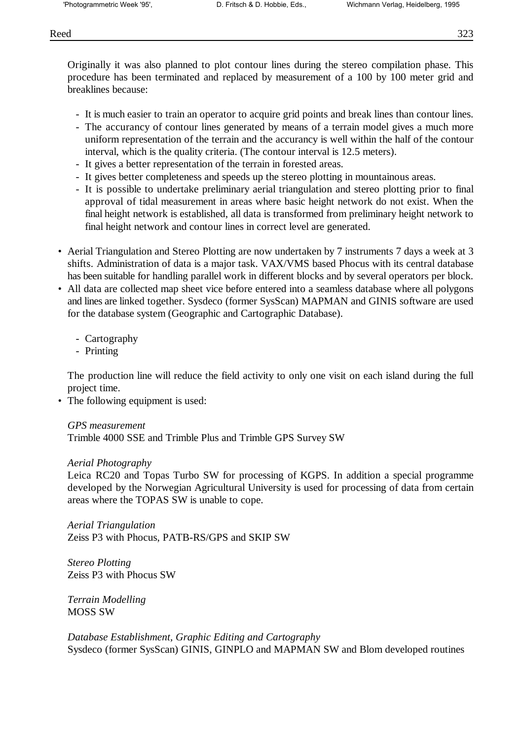Originally it was also planned to plot contour lines during the stereo compilation phase. This procedure has been terminated and replaced by measurement of a 100 by 100 meter grid and breaklines because:

- It is much easier to train an operator to acquire grid points and break lines than contour lines.
- The accurancy of contour lines generated by means of a terrain model gives a much more uniform representation of the terrain and the accurancy is well within the half of the contour interval, which is the quality criteria. (The contour interval is 12.5 meters).
- It gives a better representation of the terrain in forested areas.
- It gives better completeness and speeds up the stereo plotting in mountainous areas.
- It is possible to undertake preliminary aerial triangulation and stereo plotting prior to final approval of tidal measurement in areas where basic height network do not exist. When the final height network is established, all data is transformed from preliminary height network to final height network and contour lines in correct level are generated.
- Aerial Triangulation and Stereo Plotting are now undertaken by 7 instruments 7 days a week at 3 shifts. Administration of data is a major task. VAX/VMS based Phocus with its central database has been suitable for handling parallel work in different blocks and by several operators per block.
- All data are collected map sheet vice before entered into a seamless database where all polygons and lines are linked together. Sysdeco (former SysScan) MAPMAN and GINIS software are used for the database system (Geographic and Cartographic Database).
	- Cartography
	- Printing

The production line will reduce the field activity to only one visit on each island during the full project time.

• The following equipment is used:

*GPS measurement*

Trimble 4000 SSE and Trimble Plus and Trimble GPS Survey SW

### *Aerial Photography*

Leica RC20 and Topas Turbo SW for processing of KGPS. In addition a special programme developed by the Norwegian Agricultural University is used for processing of data from certain areas where the TOPAS SW is unable to cope.

*Aerial Triangulation* Zeiss P3 with Phocus, PATB-RS/GPS and SKIP SW

*Stereo Plotting* Zeiss P3 with Phocus SW

*Terrain Modelling* MOSS SW

*Database Establishment, Graphic Editing and Cartography* Sysdeco (former SysScan) GINIS, GINPLO and MAPMAN SW and Blom developed routines